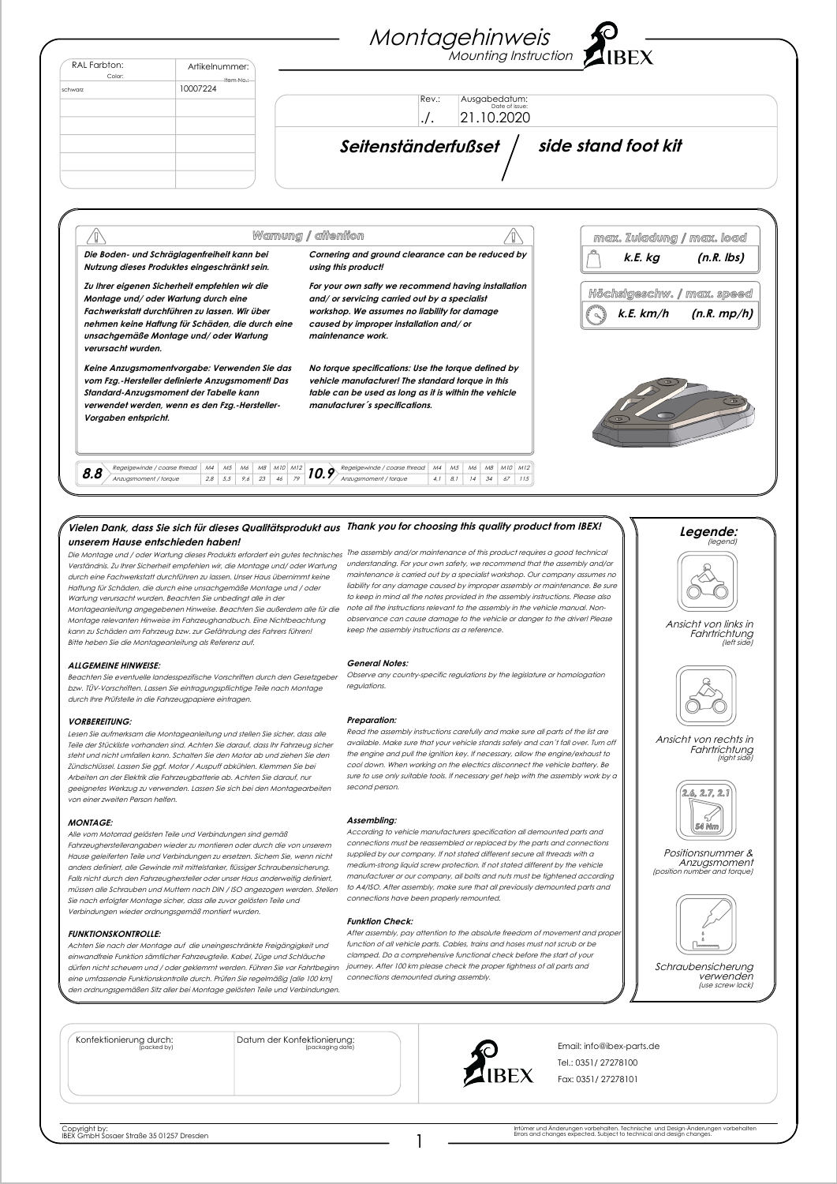| RAL Farbton:<br>Color: | Artikelnummer:                                                                                                                                                                                                                       | Montagehinweis C -                                                                                                                                                                                                  |                                                            |
|------------------------|--------------------------------------------------------------------------------------------------------------------------------------------------------------------------------------------------------------------------------------|---------------------------------------------------------------------------------------------------------------------------------------------------------------------------------------------------------------------|------------------------------------------------------------|
| schwarz                | Item No.:<br>10007224                                                                                                                                                                                                                |                                                                                                                                                                                                                     |                                                            |
|                        |                                                                                                                                                                                                                                      | Ausgabedatum:<br>Rev.:<br>Date of issue:<br>21.10.2020<br>./.                                                                                                                                                       |                                                            |
|                        |                                                                                                                                                                                                                                      | Seitenständerfußset                                                                                                                                                                                                 | side stand foot kit                                        |
|                        |                                                                                                                                                                                                                                      | Warnung / affenfion                                                                                                                                                                                                 | max. Zuladung / max. load                                  |
|                        | Die Boden- und Schräglagenfreiheit kann bei<br>Nutzung dieses Produktes eingeschränkt sein.                                                                                                                                          | Cornering and ground clearance can be reduced by<br>using this product!                                                                                                                                             | $(n.R.$ lbs)<br>k.E. kg                                    |
| verursacht wurden.     | Zu Ihrer eigenen Sicherheit empfehlen wir die<br>Montage und/ oder Wartung durch eine<br>Fachwerkstatt durchführen zu lassen. Wir über<br>nehmen keine Haffung für Schäden, die durch eine<br>unsachgemäße Montage und/ oder Wartung | For your own safty we recommend having installation<br>and/ or servicing carried out by a specialist<br>workshop. We assumes no liability for damage<br>caused by improper installation and/or<br>maintenance work. | Höchsigeschw. / max. speed<br>$k.E.$ $km/h$<br>(n.R. mp/h) |
| Vorgaben entspricht.   | Keine Anzugsmomentvorgabe: Verwenden Sie das<br>vom Fzg.-Hersteller definierte Anzugsmoment! Das<br>Standard-Anzugsmoment der Tabelle kann<br>verwendet werden, wenn es den Fzg.-Hersteller-                                         | No torque specifications: Use the torque defined by<br>vehicle manufacturer! The standard torque in this<br>table can be used as long as it is within the vehicle<br>manufacturer's specifications.                 |                                                            |

# **Vielen Dank, dass Sie sich für dieses Qualitätsprodukt aus Thank you for choosing this quality product from IBEX! unserem Hause entschieden haben!**

durch eine Fachwerkstatt durchführen zu lassen. Unser Haus übernimmt keine Haftung für Schäden, die durch eine unsachgemäße Montage und / oder Wartung verursacht wurden. Beachten Sie unbedingt alle in der Montageanleitung angegebenen Hinweise. Beachten Sie außerdem alle für die  $\,$ note all the instructions relevant to the assembly in the vehicle manual. Non-Montage relevanten Hinweise im Fahrzeughandbuch. Eine Nichtbeachtung kann zu Schäden am Fahrzeug bzw. zur Gefährdung des Fahrers führen!

Beachten Sie eventuelle landesspezifische Vorschriften durch den Gesetzgeber bzw. TÜV-Vorschriften. Lassen Sie eintragungspflichtige Teile nach Montage

Lesen Sie aufmerksam die Montageanleitung und stellen Sie sicher, dass alle Teile der Stückliste vorhanden sind. Achten Sie darauf, dass Ihr Fahrzeug sicher steht und nicht umfallen kann. Schalten Sie den Motor ab und ziehen Sie den Zündschlüssel. Lassen Sie ggf. Motor / Auspuff abkühlen. Klemmen Sie bei Arbeiten an der Elektrik die Fahrzeugbatterie ab. Achten Sie darauf, nur geeignetes Werkzug zu verwenden. Lassen Sie sich bei den Montagearbeiten

Bitte heben Sie die Montageanleitung als Referenz auf.

durch Ihre Prüfstelle in die Fahrzeugpapiere eintragen.

**ALLGEMEINE HINWEISE:**

von einer zweiten Person helfen.

**VORBEREITUNG:**

Die Montage und / oder Wartung dieses Produkts erfordert ein gutes technisches The assembly and/or maintenance of this product requires a good technical Verständnis. Zu Ihrer Sicherheit empfehlen wir, die Montage und/ oder Wartung understanding. For your own safety, we recommend that the assembly and/or maintenance is carried out by a specialist workshop. Our company assumes no liability for any damage caused by improper assembly or maintenance. Be sure to keep in mind all the notes provided in the assembly instructions. Please also observance can cause damage to the vehicle or danger to the driver! Please keep the assembly instructions as a reference.

#### **General Notes:**

Observe any country-specific regulations by the legislature or homologation regulations.

#### **Preparation:**

Read the assembly instructions carefully and make sure all parts of the list are available. Make sure that your vehicle stands safely and can´t fall over. Turn off the engine and pull the ignition key. If necessary, allow the engine/exhaust to cool down. When working on the electrics disconnect the vehicle battery. Be sure to use only suitable tools. If necessary get help with the assembly work by a second person.

#### **MONTAGE:**

Alle vom Motorrad gelösten Teile und Verbindungen sind gemäß Fahrzeugherstellerangaben wieder zu montieren oder durch die von unserem Hause geleiferten Teile und Verbindungen zu ersetzen. Sichern Sie, wenn nicht anders definiert, alle Gewinde mit mittelstarker, flüssiger Schraubensicherung. Falls nicht durch den Fahrzeughersteller oder unser Haus anderweitig definiert, müssen alle Schrauben und Muttern nach DIN / ISO angezogen werden. Stellen Sie nach erfolgter Montage sicher, dass alle zuvor gelösten Teile und Verbindungen wieder ordnungsgemäß montiert wurden.

### **FUNKTIONSKONTROLLE:**

Achten Sie nach der Montage auf die uneingeschränkte Freigängigkeit und einwandfreie Funktion sämtlicher Fahrzeugteile. Kabel, Züge und Schläuche dürfen nicht scheuern und / oder geklemmt werden. Führen Sie vor Fahrtbeginn ziourney. After 100 km please check the proper tightness of all parts and eine umfassende Funktionskontrolle durch. Prüfen Sie regelmäßig [alle 100 km] den ordnungsgemäßen Sitz aller bei Montage gelösten Teile und Verbindungen.

## **Assembling:**

According to vehicle manufacturers specification all demounted parts and connections must be reassembled or replaced by the parts and connections supplied by our company. If not stated different secure all threads with a medium-strong liquid screw protection. If not stated different by the vehicle manufacturer or our company, all bolts and nuts must be tightened according to A4/ISO. After assembly, make sure that all previously demounted parts and connections have been properly remounted.

#### **Funktion Check:**

After assembly, pay attention to the absolute freedom of movement and proper function of all vehicle parts. Cables, trains and hoses must not scrub or be clamped. Do a comprehensive functional check before the start of your connections demounted during assembly.





**Schraubensicherung** verwenden (use screw lock)

Konfektionierung durch:

Datum der Konfektionierung:



1

Email: info@ibex-parts.de Tel.: 0351/ 27278100 Fax: 0351/ 27278101